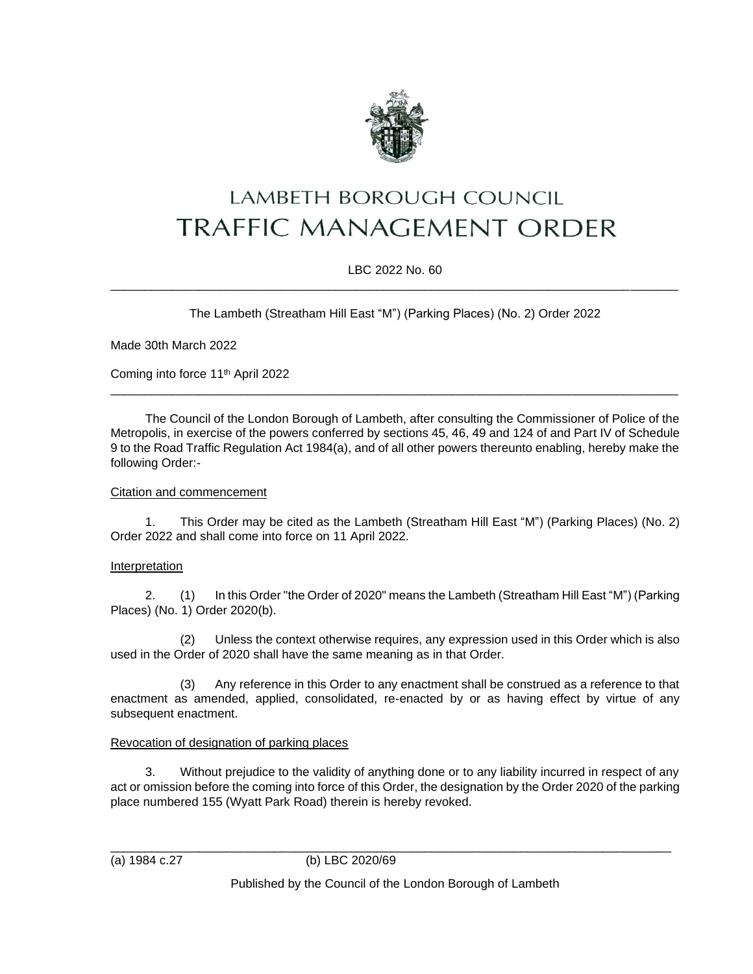

# LAMBETH BOROUGH COUNCIL **TRAFFIC MANAGEMENT ORDER**

#### LBC 2022 No. 60 \_\_\_\_\_\_\_\_\_\_\_\_\_\_\_\_\_\_\_\_\_\_\_\_\_\_\_\_\_\_\_\_\_\_\_\_\_\_\_\_\_\_\_\_\_\_\_\_\_\_\_\_\_\_\_\_\_\_\_\_\_\_\_\_\_\_\_\_\_\_\_\_\_\_\_\_\_\_\_\_\_\_\_

The Lambeth (Streatham Hill East "M") (Parking Places) (No. 2) Order 2022

Made 30th March 2022

Coming into force 11<sup>th</sup> April 2022

The Council of the London Borough of Lambeth, after consulting the Commissioner of Police of the Metropolis, in exercise of the powers conferred by sections 45, 46, 49 and 124 of and Part IV of Schedule 9 to the Road Traffic Regulation Act 1984(a), and of all other powers thereunto enabling, hereby make the following Order:-

\_\_\_\_\_\_\_\_\_\_\_\_\_\_\_\_\_\_\_\_\_\_\_\_\_\_\_\_\_\_\_\_\_\_\_\_\_\_\_\_\_\_\_\_\_\_\_\_\_\_\_\_\_\_\_\_\_\_\_\_\_\_\_\_\_\_\_\_\_\_\_\_\_\_\_\_\_\_\_\_\_\_\_

#### Citation and commencement

1. This Order may be cited as the Lambeth (Streatham Hill East "M") (Parking Places) (No. 2) Order 2022 and shall come into force on 11 April 2022.

## Interpretation

2. (1) In this Order "the Order of 2020" means the Lambeth (Streatham Hill East "M") (Parking Places) (No. 1) Order 2020(b).

(2) Unless the context otherwise requires, any expression used in this Order which is also used in the Order of 2020 shall have the same meaning as in that Order.

(3) Any reference in this Order to any enactment shall be construed as a reference to that enactment as amended, applied, consolidated, re-enacted by or as having effect by virtue of any subsequent enactment.

## Revocation of designation of parking places

3. Without prejudice to the validity of anything done or to any liability incurred in respect of any act or omission before the coming into force of this Order, the designation by the Order 2020 of the parking place numbered 155 (Wyatt Park Road) therein is hereby revoked.

\_\_\_\_\_\_\_\_\_\_\_\_\_\_\_\_\_\_\_\_\_\_\_\_\_\_\_\_\_\_\_\_\_\_\_\_\_\_\_\_\_\_\_\_\_\_\_\_\_\_\_\_\_\_\_\_\_\_\_\_\_\_\_\_\_\_\_\_\_\_\_\_\_\_\_\_\_\_\_\_\_\_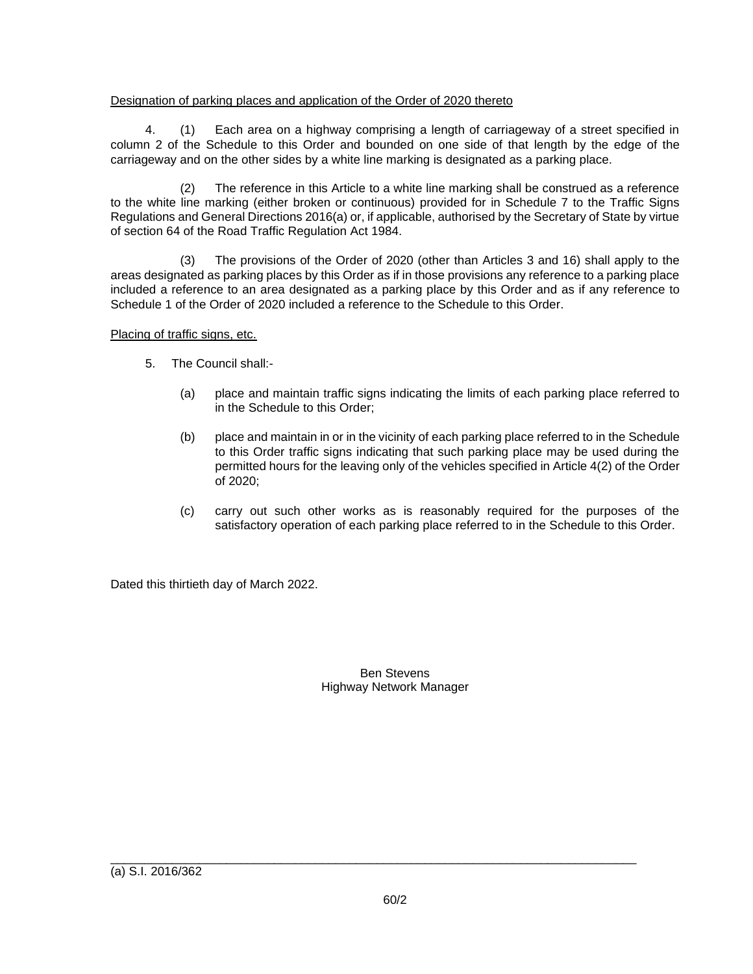## Designation of parking places and application of the Order of 2020 thereto

4. (1) Each area on a highway comprising a length of carriageway of a street specified in column 2 of the Schedule to this Order and bounded on one side of that length by the edge of the carriageway and on the other sides by a white line marking is designated as a parking place.

(2) The reference in this Article to a white line marking shall be construed as a reference to the white line marking (either broken or continuous) provided for in Schedule 7 to the Traffic Signs Regulations and General Directions 2016(a) or, if applicable, authorised by the Secretary of State by virtue of section 64 of the Road Traffic Regulation Act 1984.

(3) The provisions of the Order of 2020 (other than Articles 3 and 16) shall apply to the areas designated as parking places by this Order as if in those provisions any reference to a parking place included a reference to an area designated as a parking place by this Order and as if any reference to Schedule 1 of the Order of 2020 included a reference to the Schedule to this Order.

Placing of traffic signs, etc.

- 5. The Council shall:-
	- (a) place and maintain traffic signs indicating the limits of each parking place referred to in the Schedule to this Order;
	- (b) place and maintain in or in the vicinity of each parking place referred to in the Schedule to this Order traffic signs indicating that such parking place may be used during the permitted hours for the leaving only of the vehicles specified in Article 4(2) of the Order of 2020;
	- (c) carry out such other works as is reasonably required for the purposes of the satisfactory operation of each parking place referred to in the Schedule to this Order.

Dated this thirtieth day of March 2022.

Ben Stevens Highway Network Manager

\_\_\_\_\_\_\_\_\_\_\_\_\_\_\_\_\_\_\_\_\_\_\_\_\_\_\_\_\_\_\_\_\_\_\_\_\_\_\_\_\_\_\_\_\_\_\_\_\_\_\_\_\_\_\_\_\_\_\_\_\_\_\_\_\_\_\_\_\_\_\_\_\_\_\_\_\_